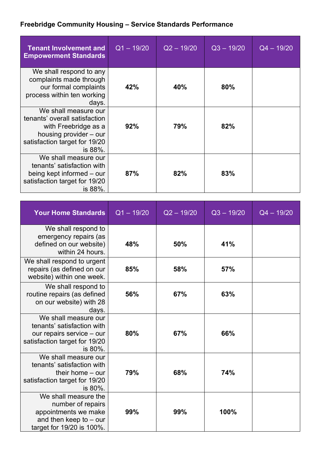## **Freebridge Community Housing – Service Standards Performance**

| <b>Tenant Involvement and</b><br><b>Empowerment Standards</b>                                                                                       | $Q1 - 19/20$ | $Q2 - 19/20$ | $Q3 - 19/20$ | $Q4 - 19/20$ |
|-----------------------------------------------------------------------------------------------------------------------------------------------------|--------------|--------------|--------------|--------------|
| We shall respond to any<br>complaints made through<br>our formal complaints<br>process within ten working<br>days.                                  | 42%          | 40%          | 80%          |              |
| We shall measure our<br>tenants' overall satisfaction<br>with Freebridge as a<br>housing provider – our<br>satisfaction target for 19/20<br>is 88%. | 92%          | 79%          | 82%          |              |
| We shall measure our<br>tenants' satisfaction with<br>being kept informed – our<br>satisfaction target for 19/20<br>is 88%.                         | 87%          | 82%          | 83%          |              |

| <b>Your Home Standards</b>                                                                                                  | $Q1 - 19/20$ | $Q2 - 19/20$ | $Q3 - 19/20$ | $Q4 - 19/20$ |
|-----------------------------------------------------------------------------------------------------------------------------|--------------|--------------|--------------|--------------|
| We shall respond to<br>emergency repairs (as<br>defined on our website)<br>within 24 hours.                                 | 48%          | 50%          | 41%          |              |
| We shall respond to urgent<br>repairs (as defined on our<br>website) within one week.                                       | 85%          | 58%          | 57%          |              |
| We shall respond to<br>routine repairs (as defined<br>on our website) with 28<br>days.                                      | 56%          | 67%          | 63%          |              |
| We shall measure our<br>tenants' satisfaction with<br>our repairs service - our<br>satisfaction target for 19/20<br>is 80%. | 80%          | 67%          | 66%          |              |
| We shall measure our<br>tenants' satisfaction with<br>their home $-$ our<br>satisfaction target for 19/20<br>is 80%.        | 79%          | 68%          | 74%          |              |
| We shall measure the<br>number of repairs<br>appointments we make<br>and then keep to $-$ our<br>target for 19/20 is 100%.  | 99%          | 99%          | 100%         |              |